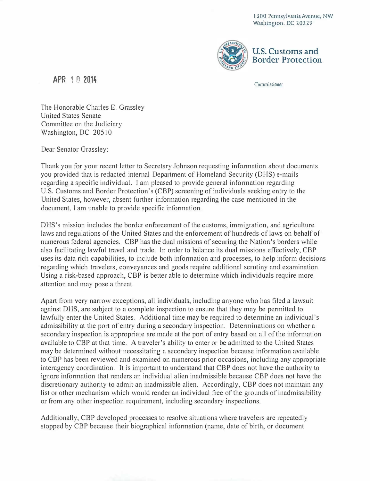1300 Pennsylvania Avenue, NW Washington, DC 20229



APR 1 0 2014 Commissioner

The Honorable Charles E. Grassley United States Senate Committee on the Judiciary Washington, DC 20510

Dear Senator Grassley:

Thank you for your recent letter to Secretary Johnson requesting information about documents you provided that is redacted internal Department of Homeland Security (DHS) e-mails regarding a specific individual. I am pleased to provide general information regarding U.S. Customs and Border Protection's (CBP) screening of individuals seeking entry to the United States, however, absent further information regarding the case mentioned in the document, I am unable to provide specific information.

DHS's mission includes the border enforcement of the customs, immigration, and agriculture laws and regulations of the United States and the enforcement of hundreds of laws on behalf of numerous federal agencies. CBP has the dual missions of securing the Nation's borders while also facilitating lawful travel and trade. In order to balance its dual missions effectively, CBP uses its data rich capabilities, to include both information and processes, to help inform decisions regarding which travelers, conveyances and goods require additional scrutiny and examination. Using a risk-based approach, CBP is better able to determine which individuals require more attention and may pose a threat.

Apart from very narrow exceptions, all individuals, including anyone who has filed a lawsuit against DI-IS, are subject to a complete inspection to ensure that they may be permitted to lawfully enter the United States. Additional time may be required to determine an individual's admissibility at the port of entry during a secondary inspection. Determinations on whether a secondary inspection is appropriate are made at the port of entry based on all of the information available to CBP at that time. A traveler's ability to enter or be admitted to the United States may be determined without necessitating a secondary inspection because information available to CBP has been reviewed and examined on numerous prior occasions, including any appropriate interagency coordination. It is important to understand that CBP does not have the authority to ignore information that renders an individual alien inadmissible because CBP does not have the discretionary authority to admit an inadmissible alien. Accordingly, CBP does not maintain any list or other mechanism which would render an individual free of the grounds of inadmissibility or from any other inspection requirement, including secondary inspections.

Additionally, CBP developed processes to resolve situations where travelers are repeatedly stopped by CBP because their biographical information (name, date of birth, or document